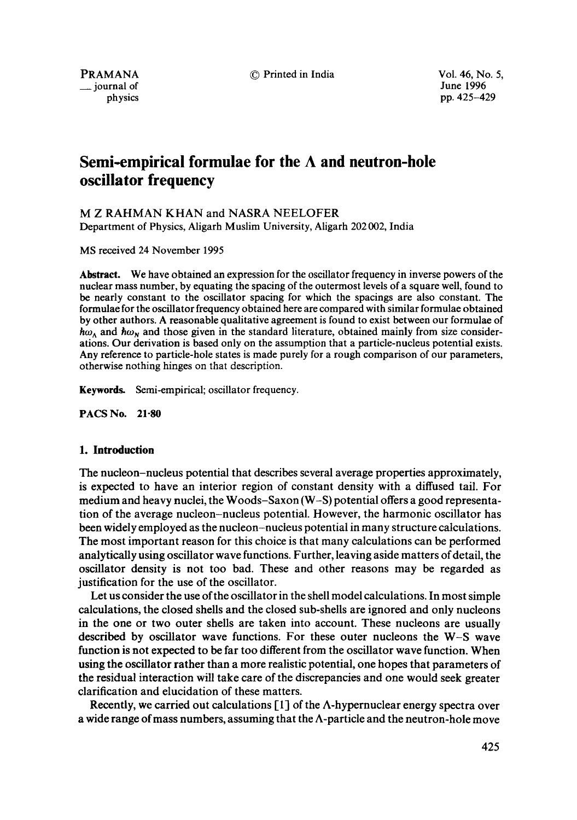$\equiv$  journal of

PRAMANA  $\circled{P}$  Printed in India  $\circled{V}$  Vol. 46, No. 5, vol. 46, No. 5, vol. 46, No. 5, physics pp. 425-429

# **Semi-empirical formulae for the A and neutron-hole oscillator frequency**

## M Z RAHMAN KHAN and NASRA NEELOFER

Department of Physics, Aligarh Muslim University, Aligarh 202 002, India

MS received 24 November 1995

**Abstract.** We have obtained an expression for the oscillator frequency in inverse powers of the nuclear mass number, by equating the spacing of the outermost levels of a square well, found to be nearly constant to the oscillator spacing for which the spacings are also constant. The formulae for the oscillator frequency obtained here are compared with similar formulae obtained by other authors. A reasonable qualitative agreement is found to exist between our formulae of  $\hbar \omega_{\Lambda}$  and  $\hbar \omega_{N}$  and those given in the standard literature, obtained mainly from size considerations. Our derivation is based only on the assumption that a particle-nucleus potential exists. Any reference to particle-hole states is made purely for a rough comparison of our parameters, otherwise nothing hinges on that description.

Keywords. Semi-empirical; oscillator frequency.

**PACS No. 21-80** 

## **1. Introduction**

The nucleon-nucleus potential that describes several average properties approximately, is expected to have an interior region of constant density with a diffused tail. For medium and heavy nuclei, the Woods-Saxon (W-S) potential offers a good representation of the average nucleon-nucleus potential. However, the harmonic oscillator has been widely employed as the nucleon-nucleus potential in many structure calculations. The most important reason for this choice is that many calculations can be performed analytically using oscillator wave functions. Further, leaving aside matters of detail, the oscillator density is not too bad. These and other reasons may be regarded as justification for the use of the oscillator.

Let us consider the use of the oscillator in the shell model calculations. In most simple calculations, the closed shells and the closed sub-shells are ignored and only nucleons in the one or two outer shells are taken into account. These nucleons are usually described by oscillator wave functions. For these outer nucleons the W-S wave function is not expected to be far too different from the oscillator wave function. When using the oscillator rather than a more realistic potential, one hopes that parameters of the residual interaction will take care of the discrepancies and one would seek greater clarification and elucidation of these matters.

Recently, we carried out calculations  $[1]$  of the  $\Lambda$ -hypernuclear energy spectra over a wide range of mass numbers, assuming that the  $\Lambda$ -particle and the neutron-hole move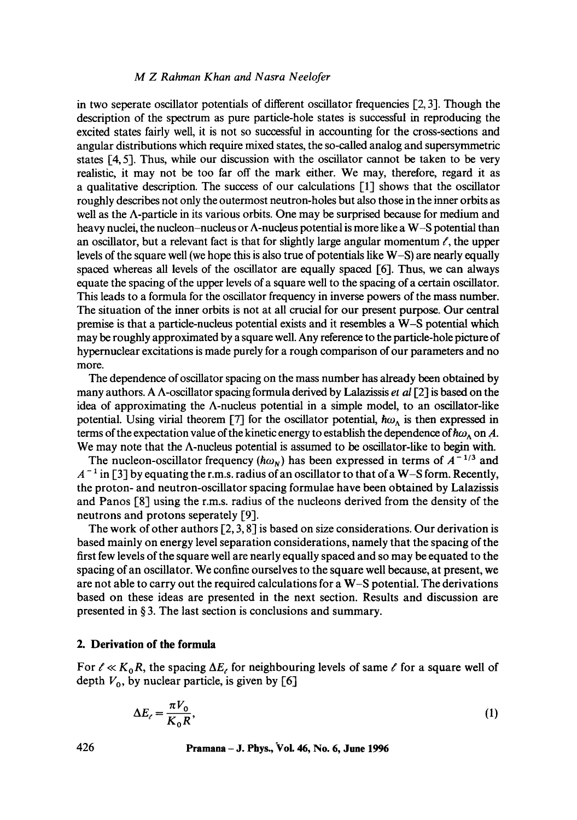#### *M Z Rahman Khan and Nasra Neelofer*

in two seperate oscillator potentials of different oscillator frequencies [2, 3]. Though the description of the spectrum as pure particle-hole states is successful in reproducing the excited states fairly well, it is not so successful in accounting for the cross-sections and angular distributions which require mixed states, the so-called analog and supersymmetric states [4, 5]. Thus, while our discussion with the oscillator cannot be taken to be very realistic, it may not be too far off the mark either. We may, therefore, regard it as a qualitative description. The success of our calculations [1] shows that the oscillator roughly describes not only the outermost neutron-holes but also those in the inner orbits as well as the A-particle in its various orbits. One may be surprised because for medium and heavy nuclei, the nucleon-nucleus or  $\Lambda$ -nucleus potential is more like a W-S potential than an oscillator, but a relevant fact is that for slightly large angular momentum  $\ell$ , the upper levels of the square well (we hope this is also true of potentials like W-S) are nearly equally spaced whereas all levels of the oscillator are equally spaced [6]. Thus, we can always equate the spacing of the upper levels of a square well to the spacing of a certain oscillator. This leads to a formula for the oscillator frequency in inverse powers of the mass number. The situation of the inner orbits is not at all crucial for our present purpose. Our central premise is that a particle-nucleus potential exists and it resembles a W-S potential which may be roughly approximated by a square well. Any reference to the particle-hole picture of hypernuclear excitations is made purely for a rough comparison of our parameters and no more.

The dependence of oscillator spacing on the mass number has already been obtained by many authors. A A-oscillator spacing formula derived by Lalazissis *et al* [2] is based on the idea of approximating the  $\Lambda$ -nucleus potential in a simple model, to an oscillator-like potential. Using virial theorem [7] for the oscillator potential,  $\hbar\omega_{\Lambda}$  is then expressed in terms of the expectation value of the kinetic energy to establish the dependence of  $\hbar\omega_{\Lambda}$  on A. We may note that the A-nucleus potential is assumed to be oscillator-like to begin with.

The nucleon-oscillator frequency ( $\hbar \omega_{N}$ ) has been expressed in terms of  $A^{-1/3}$  and  $A^{-1}$  in [3] by equating the r.m.s. radius of an oscillator to that of a W–S form. Recently, the proton- and neutron-oscillator spacing formulae have been obtained by Lalazissis and Panos [8] using the r.m.s, radius of the nucleons derived from the density of the neutrons and protons seperately [9].

The work of other authors  $[2, 3, 8]$  is based on size considerations. Our derivation is based mainly on energy level separation considerations, namely that the spacing of the first few levels of the square well are nearly equally spaced and so may be equated to the spacing of an oscillator. We confine ourselves to the square well because, at present, we are not able to carry out the required calculations for a W-S potential. The derivations based on these ideas are presented in the next section. Results and discussion are presented in § 3. The last section is conclusions and summary.

## **2. Derivation of the formula**

For  $\ell \ll K_0 R$ , the spacing  $\Delta E_\ell$  for neighbouring levels of same  $\ell$  for a square well of depth  $V_0$ , by nuclear particle, is given by [6]

$$
\Delta E_{\ell} = \frac{\pi V_0}{K_0 R},\tag{1}
$$

426 **Pramana - J. Phys., Vol. 46, No. 6, June 1996**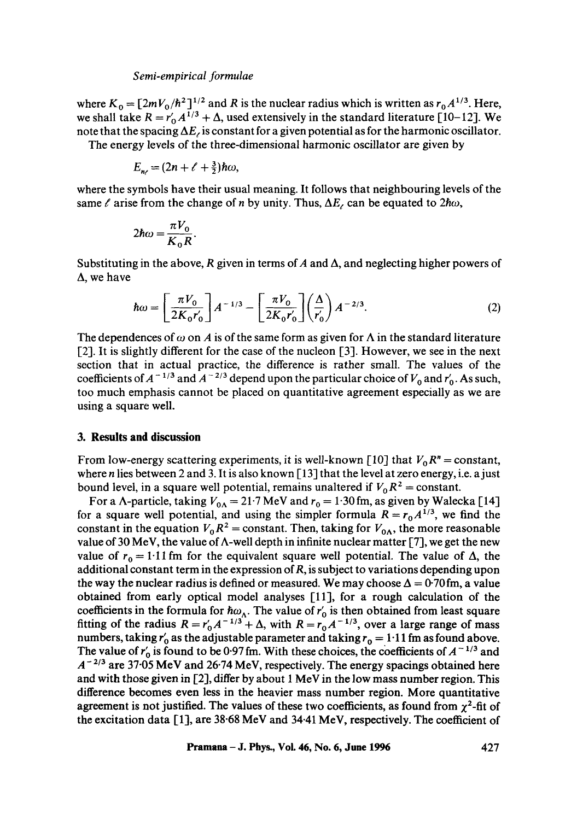#### *Semi-empirical formulae*

where  $K_0 = \left[\frac{2mV_0}{\hbar^2}\right]^{1/2}$  and R is the nuclear radius which is written as  $r_0 A^{1/3}$ . Here, we shall take  $R = r_0' A^{1/3} + \Delta$ , used extensively in the standard literature [10-12]. We note that the spacing  $\Delta E_t$  is constant for a given potential as for the harmonic oscillator.

The energy levels of the three-dimensional harmonic oscillator are given by

$$
E_{n} = (2n + \ell + \frac{3}{2})\hbar\omega,
$$

where the symbols have their usual meaning. It follows that neighbouring levels of the same  $\ell$  arise from the change of n by unity. Thus,  $\Delta E_{\ell}$  can be equated to  $2\hbar\omega$ ,

$$
2\hbar\omega = \frac{\pi V_0}{K_0 R}.
$$

Substituting in the above, R given in terms of A and  $\Delta$ , and neglecting higher powers of  $\Delta$ , we have

$$
\hbar\omega = \left[\frac{\pi V_0}{2K_0 r'_0}\right] A^{-1/3} - \left[\frac{\pi V_0}{2K_0 r'_0}\right] \left(\frac{\Delta}{r'_0}\right) A^{-2/3}.
$$
 (2)

The dependences of  $\omega$  on A is of the same form as given for  $\Lambda$  in the standard literature [2]. It is slightly different for the case of the nucleon [3]. However, we see in the next section that in actual practice, the difference is rather small. The values of the coefficients of  $A^{-1/3}$  and  $A^{-2/3}$  depend upon the particular choice of  $V_0$  and  $r'_0$ . As such, too much emphasis cannot be placed on quantitative agreement especially as we are using a square well.

#### **3. Results and discussion**

From low-energy scattering experiments, it is well-known [10] that  $V_0 R^n$  = constant, where  $n$  lies between 2 and 3. It is also known [13] that the level at zero energy, i.e. a just bound level, in a square well potential, remains unaltered if  $V_0 R^2$  = constant.

For a  $\Lambda$ -particle, taking  $V_{0\Lambda} = 21.7$  MeV and  $r_0 = 1.30$  fm, as given by Walecka [14] for a square well potential, and using the simpler formula  $R = r_0 A^{1/3}$ , we find the constant in the equation  $V_0 R^2$  = constant. Then, taking for  $V_{0\Lambda}$ , the more reasonable value of 30 MeV, the value of  $\Lambda$ -well depth in infinite nuclear matter [7], we get the new value of  $r_0 = 1.11$  fm for the equivalent square well potential. The value of  $\Delta$ , the additional constant term in the expression of  $R$ , is subject to variations depending upon the way the nuclear radius is defined or measured. We may choose  $\Delta = 0.70$  fm, a value obtained from early optical model analyses [111, for a rough calculation of the coefficients in the formula for  $\hbar\omega_{\Lambda}$ . The value of  $r'_0$  is then obtained from least square fitting of the radius  $R = r'_0 A^{-1/3} + \Delta$ , with  $R = r_0 A^{-1/3}$ , over a large range of mass numbers, taking  $r'_0$  as the adjustable parameter and taking  $r_0 = 1.11$  fm as found above. The value of  $r_0$  is found to be 0.97 fm. With these choices, the coefficients of  $A^{-1/3}$  and  $A^{-2/3}$  are 37.05 MeV and 26.74 MeV, respectively. The energy spacings obtained here and with those given in [2], differ by about 1 MeV in the low mass number region. This difference becomes even less in the heavier mass number region. More quantitative agreement is not justified. The values of these two coefficients, as found from  $\chi^2$ -fit of the excitation data [1], are 38.68 MeV and 34.41 MeV, respectively. The coefficient of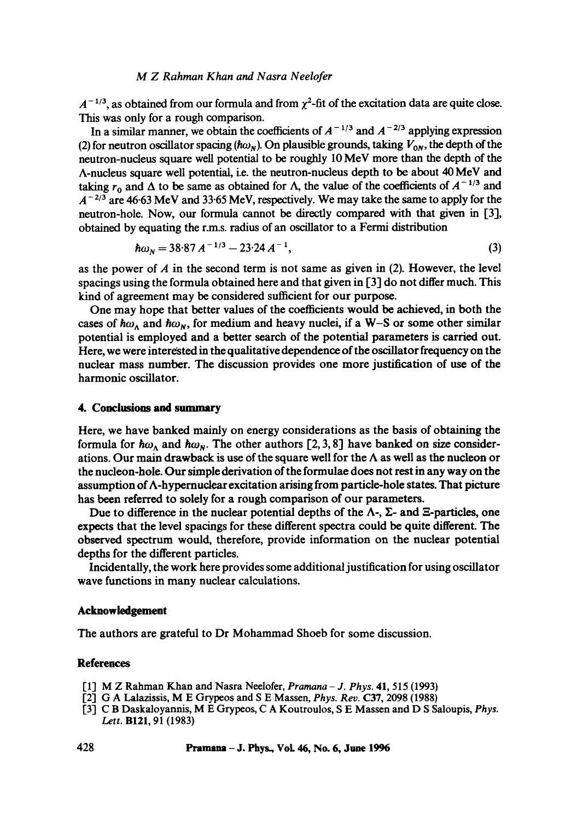#### *M Z Rahman Khan and Nasra Neelofer*

 $A^{-1/3}$ , as obtained from our formula and from  $\chi^2$ -fit of the excitation data are quite close. This was only for a rough comparison.

In a similar manner, we obtain the coefficients of  $A^{-1/3}$  and  $A^{-2/3}$  applying expression (2) for neutron oscillator spacing ( $\hbar\omega_N$ ). On plausible grounds, taking  $V_{0N}$ , the depth of the neutron-nucleus square well potential to be roughly 10 MeV more than the depth of the A-nucleus square well potential, i.e. the neutron-nucleus depth to be about 40 MeV and taking  $r_0$  and  $\Delta$  to be same as obtained for  $\Lambda$ , the value of the coefficients of  $A^{-1/3}$  and  $A^{-2/3}$  are 46.63 MeV and 33.65 MeV, respectively. We may take the same to apply for the neutron-hole. Now, our formula cannot be directly compared with that given in [3], obtained by equating the r.m.s, radius of an oscillator to a Fermi distribution

$$
\hbar \omega_N = 38.87 A^{-1/3} - 23.24 A^{-1}, \tag{3}
$$

as the power of  $A$  in the second term is not same as given in (2). However, the level spacings using the formula obtained here and that given in [3] do not differ much. This kind of agreement may be considered sufficient for our purpose.

One may hope that better values of the coefficients would be achieved, in both the cases of  $\hbar \omega_{\lambda}$  and  $\hbar \omega_{\nu}$ , for medium and heavy nuclei, if a W-S or some other similar potential is employed and a better search of the potential parameters is carried out. Here, we were interested in the qualitative dependence of the oscillator frequency on the nuclear mass number. The discussion provides one more justification of use of the harmonic oscillator.

#### **4. Conclusions and summary**

Here, we have banked mainly on energy considerations as the basis of obtaining the formula for  $\hbar\omega_A$  and  $\hbar\omega_N$ . The other authors [2, 3, 8] have banked on size considerations. Our main drawback is use of the square well for the  $\Lambda$  as well as the nucleon or the nucleon-hole. Our simple derivation of the formulae does not rest in any way on the assumption of  $\Lambda$ -hypernuclear excitation arising from particle-hole states. That picture has been referred to solely for a rough comparison of our parameters.

Due to difference in the nuclear potential depths of the  $\Lambda$ -,  $\Sigma$ - and  $\Sigma$ -particles, one expects that the level spacings for these different spectra could be quite different. The observed spectrum would, therefore, provide information on the nuclear potential depths for the different particles.

Incidentally, the work here provides some additional justification for using oscillator wave functions in many nuclear calculations.

### **Acknowledgement**

The authors are grateful to Dr Mohammad Shoeb for some discussion.

#### **References**

- [1] M Z Rahman Khan and Nasra Neelofer, *Pramana J. Phys.* **41,** 515 (1993)
- [2] G A Lalazissis, M E Grypeos and S E Massen, *Phys. Rev.* C37, 2098 (1988)
- [3] C B Daskaloyannis, M E Grypeos, C A Koutroulos, S E Massen and D S Saloupis, *Phys. Lett.* B121, 91 (1983)